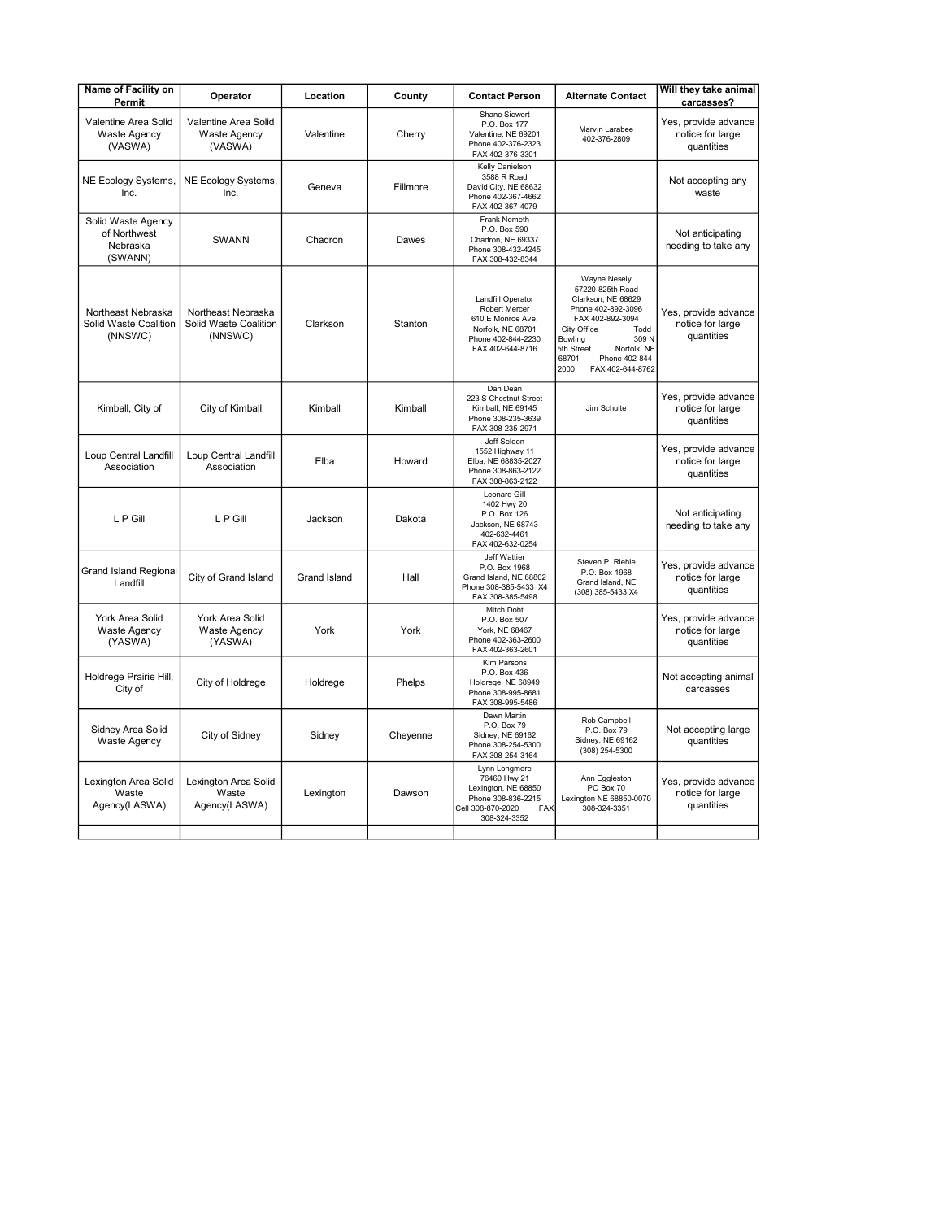| Name of Facility on<br>Permit                             | Operator                                               | Location            | County   | <b>Contact Person</b>                                                                                                  | <b>Alternate Contact</b>                                                                                                                                                                                                               | Will they take animal<br>carcasses?                    |
|-----------------------------------------------------------|--------------------------------------------------------|---------------------|----------|------------------------------------------------------------------------------------------------------------------------|----------------------------------------------------------------------------------------------------------------------------------------------------------------------------------------------------------------------------------------|--------------------------------------------------------|
| Valentine Area Solid<br><b>Waste Agency</b><br>(VASWA)    | Valentine Area Solid<br><b>Waste Agency</b><br>(VASWA) | Valentine           | Cherry   | Shane Siewert<br>P.O. Box 177<br>Valentine, NE 69201<br>Phone 402-376-2323<br>FAX 402-376-3301                         | Marvin Larabee<br>402-376-2809                                                                                                                                                                                                         | Yes, provide advance<br>notice for large<br>quantities |
| NE Ecology Systems,<br>Inc.                               | NE Ecology Systems,<br>Inc.                            | Geneva              | Fillmore | Kelly Danielson<br>3588 R Road<br>David City, NE 68632<br>Phone 402-367-4662<br>FAX 402-367-4079                       |                                                                                                                                                                                                                                        | Not accepting any<br>waste                             |
| Solid Waste Agency<br>of Northwest<br>Nebraska<br>(SWANN) | <b>SWANN</b>                                           | Chadron             | Dawes    | Frank Nemeth<br>P.O. Box 590<br>Chadron, NE 69337<br>Phone 308-432-4245<br>FAX 308-432-8344                            |                                                                                                                                                                                                                                        | Not anticipating<br>needing to take any                |
| Northeast Nebraska<br>Solid Waste Coalition<br>(NNSWC)    | Northeast Nebraska<br>Solid Waste Coalition<br>(NNSWC) | Clarkson            | Stanton  | Landfill Operator<br>Robert Mercer<br>610 E Monroe Ave.<br>Norfolk, NE 68701<br>Phone 402-844-2230<br>FAX 402-644-8716 | <b>Wayne Nesely</b><br>57220-825th Road<br>Clarkson, NE 68629<br>Phone 402-892-3096<br>FAX 402-892-3094<br>City Office<br>Todd<br>309 N<br>Bowling<br>Norfolk, NE<br>5th Street<br>68701<br>Phone 402-844-<br>2000<br>FAX 402-644-8762 | Yes, provide advance<br>notice for large<br>quantities |
| Kimball, City of                                          | City of Kimball                                        | Kimball             | Kimball  | Dan Dean<br>223 S Chestnut Street<br>Kimball, NE 69145<br>Phone 308-235-3639<br>FAX 308-235-2971                       | Jim Schulte                                                                                                                                                                                                                            | Yes, provide advance<br>notice for large<br>quantities |
| Loup Central Landfill<br>Association                      | Loup Central Landfill<br>Association                   | Elba                | Howard   | Jeff Seldon<br>1552 Highway 11<br>Elba, NE 68835-2027<br>Phone 308-863-2122<br>FAX 308-863-2122                        |                                                                                                                                                                                                                                        | Yes, provide advance<br>notice for large<br>quantities |
| L P Gill                                                  | L P Gill                                               | Jackson             | Dakota   | Leonard Gill<br>1402 Hwy 20<br>P.O. Box 126<br>Jackson, NE 68743<br>402-632-4461<br>FAX 402-632-0254                   |                                                                                                                                                                                                                                        | Not anticipating<br>needing to take any                |
| <b>Grand Island Regional</b><br>Landfill                  | City of Grand Island                                   | <b>Grand Island</b> | Hall     | Jeff Wattier<br>P.O. Box 1968<br>Grand Island, NE 68802<br>Phone 308-385-5433 X4<br>FAX 308-385-5498                   | Steven P. Riehle<br>P.O. Box 1968<br>Grand Island, NE<br>(308) 385-5433 X4                                                                                                                                                             | Yes, provide advance<br>notice for large<br>quantities |
| York Area Solid<br><b>Waste Agency</b><br>(YASWA)         | York Area Solid<br><b>Waste Agency</b><br>(YASWA)      | York                | York     | Mitch Doht<br>P.O. Box 507<br>York, NE 68467<br>Phone 402-363-2600<br>FAX 402-363-2601                                 |                                                                                                                                                                                                                                        | Yes, provide advance<br>notice for large<br>quantities |
| Holdrege Prairie Hill,<br>City of                         | City of Holdrege                                       | Holdrege            | Phelps   | Kim Parsons<br>P.O. Box 436<br>Holdrege, NE 68949<br>Phone 308-995-8681<br>FAX 308-995-5486                            |                                                                                                                                                                                                                                        | Not accepting animal<br>carcasses                      |
| Sidney Area Solid<br>Waste Agency                         | City of Sidney                                         | Sidney              | Cheyenne | Dawn Martin<br>P.O. Box 79<br>Sidney, NE 69162<br>Phone 308-254-5300<br>FAX 308-254-3164                               | Rob Campbell<br>P.O. Box 79<br>Sidney, NE 69162<br>(308) 254-5300                                                                                                                                                                      | Not accepting large<br>quantities                      |
| Lexington Area Solid<br>Waste<br>Agency(LASWA)            | Lexington Area Solid<br>Waste<br>Agency(LASWA)         | Lexington           | Dawson   | Lynn Longmore<br>76460 Hwy 21<br>Lexington, NE 68850<br>Phone 308-836-2215<br>Cell 308-870-2020<br>FAX<br>308-324-3352 | Ann Eggleston<br>PO Box 70<br>Lexington NE 68850-0070<br>308-324-3351                                                                                                                                                                  | Yes, provide advance<br>notice for large<br>quantities |
|                                                           |                                                        |                     |          |                                                                                                                        |                                                                                                                                                                                                                                        |                                                        |